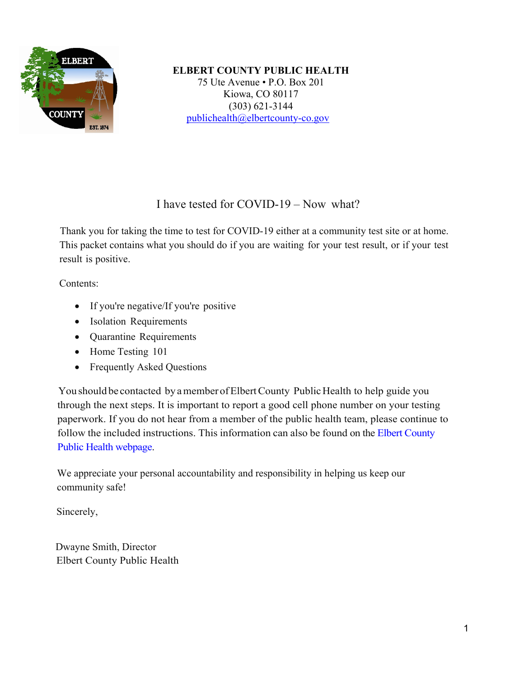

**ELBERT COUNTY PUBLIC HEALTH** 75 Ute Avenue • P.O. Box 201 Kiowa, CO 80117 (303) 621-3144 [publichealth@elbertcounty-co.gov](mailto:publichealth@elbertcounty-co.gov)

## I have tested for COVID-19 – Now what?

Thank you for taking the time to test for COVID-19 either at a community test site or at home. This packet contains what you should do if you are waiting for your test result, or if your test result is positive.

Contents:

- If you're negative/If you're positive
- Isolation Requirements
- Quarantine Requirements
- Home Testing 101
- Frequently Asked Questions

You should be contacted by a member of Elbert County Public Health to help guide you through the next steps. It is important to report a good cell phone number on your testing paperwork. If you do not hear from a member of the public health team, please continue to follow the included instructions. This information can also be found on the Elbert County [Public Health webpage.](https://www.elbertcounty-co.gov/254/COVID-19-Information)

We appreciate your personal accountability and responsibility in helping us keep our community safe!

Sincerely,

 Dwayne Smith, Director Elbert County Public Health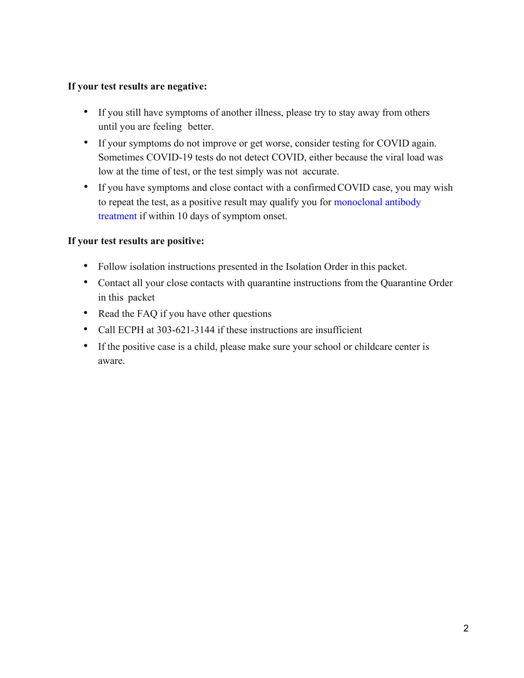#### **If your test results are negative:**

- If you still have symptoms of another illness, please try to stay away from others until you are feeling better.
- If your symptoms do not improve or get worse, consider testing for COVID again. Sometimes COVID-19 tests do not detect COVID, either because the viral load was low at the time of test, or the test simply was not accurate.
- If you have symptoms and close contact with a confirmed COVID case, you may wish to repeat the test, as a positive result may qualify you for [monoclonal antibody](https://covid19.colorado.gov/getting-covid-19-treatment)  [treatment](https://covid19.colorado.gov/getting-covid-19-treatment) if within 10 days of symptom onset.

## **If your test results are positive:**

- Follow isolation instructions presented in the Isolation Order in this packet.
- Contact all your close contacts with quarantine instructions from the Quarantine Order in this packet
- Read the FAQ if you have other questions
- Call ECPH at 303-621-3144 if these instructions are insufficient
- If the positive case is a child, please make sure your school or childcare center is aware.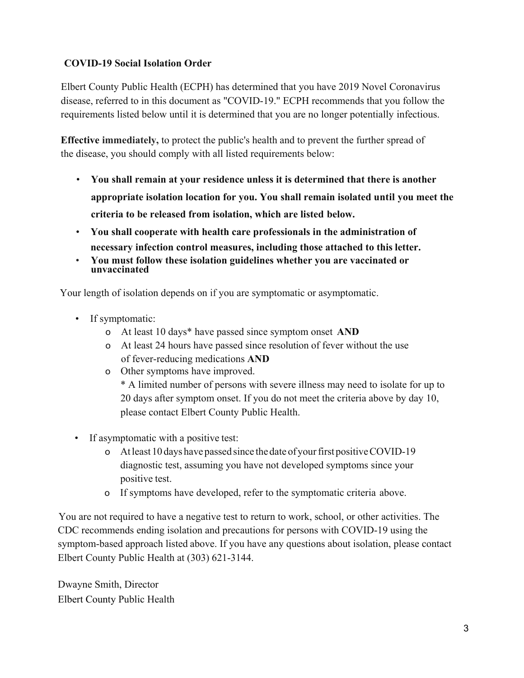## **COVID-19 Social Isolation Order**

Elbert County Public Health (ECPH) has determined that you have 2019 Novel Coronavirus disease, referred to in this document as "COVID-19." ECPH recommends that you follow the requirements listed below until it is determined that you are no longer potentially infectious.

**Effective immediately,** to protect the public's health and to prevent the further spread of the disease, you should comply with all listed requirements below:

- **You shall remain at your residence unless it is determined that there is another appropriate isolation location for you. You shall remain isolated until you meet the criteria to be released from isolation, which are listed below.**
- **You shall cooperate with health care professionals in the administration of necessary infection control measures, including those attached to this letter.**
- **You must follow these isolation guidelines whether you are vaccinated or unvaccinated**

Your length of isolation depends on if you are symptomatic or asymptomatic.

- If symptomatic:
	- o At least 10 days\* have passed since symptom onset **AND**
	- o At least 24 hours have passed since resolution of fever without the use of fever-reducing medications **AND**
	- o Other symptoms have improved.

\* A limited number of persons with severe illness may need to isolate for up to 20 days after symptom onset. If you do not meet the criteria above by day 10, please contact Elbert County Public Health.

- If asymptomatic with a positive test:
	- o Atleast 10 days have passed since the date of your first positive COVID-19 diagnostic test, assuming you have not developed symptoms since your positive test.
	- o If symptoms have developed, refer to the symptomatic criteria above.

You are not required to have a negative test to return to work, school, or other activities. The CDC recommends ending isolation and precautions for persons with COVID-19 using the symptom-based approach listed above. If you have any questions about isolation, please contact Elbert County Public Health at (303) 621-3144.

Dwayne Smith, Director Elbert County Public Health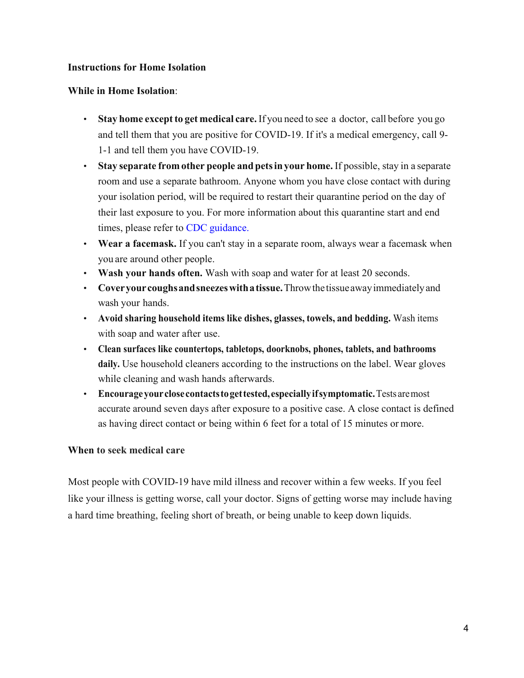#### **Instructions for Home Isolation**

#### **While in Home Isolation**:

- **Stay home exceptto get medical care.** If you need to see a doctor, call before you go and tell them that you are positive for COVID-19. If it's a medical emergency, call 9- 1-1 and tell them you have COVID-19.
- **Stay separate from other people and petsin your home.** If possible, stay in a separate room and use a separate bathroom. Anyone whom you have close contact with during your isolation period, will be required to restart their quarantine period on the day of their last exposure to you. For more information about this quarantine start and end times, please refer to [CDC guidance.](https://www.cdc.gov/coronavirus/2019-ncov/your-health/quarantine-isolation.html)
- **Wear a facemask.** If you can't stay in a separate room, always wear a facemask when you are around other people.
- **Wash your hands often.** Wash with soap and water for at least 20 seconds.
- **Cover your coughsandsneezeswith a tissue.**Throw the tissueawayimmediately and wash your hands.
- **Avoid sharing household items like dishes, glasses, towels, and bedding.** Wash items with soap and water after use.
- **Clean surfaces like countertops, tabletops, doorknobs, phones, tablets, and bathrooms daily.** Use household cleaners according to the instructions on the label. Wear gloves while cleaning and wash hands afterwards.
- **Encourageyourclose contacts to get tested, especially if symptomatic.** Tests are most accurate around seven days after exposure to a positive case. A close contact is defined as having direct contact or being within 6 feet for a total of 15 minutes or more.

#### **When to seek medical care**

Most people with COVID-19 have mild illness and recover within a few weeks. If you feel like your illness is getting worse, call your doctor. Signs of getting worse may include having a hard time breathing, feeling short of breath, or being unable to keep down liquids.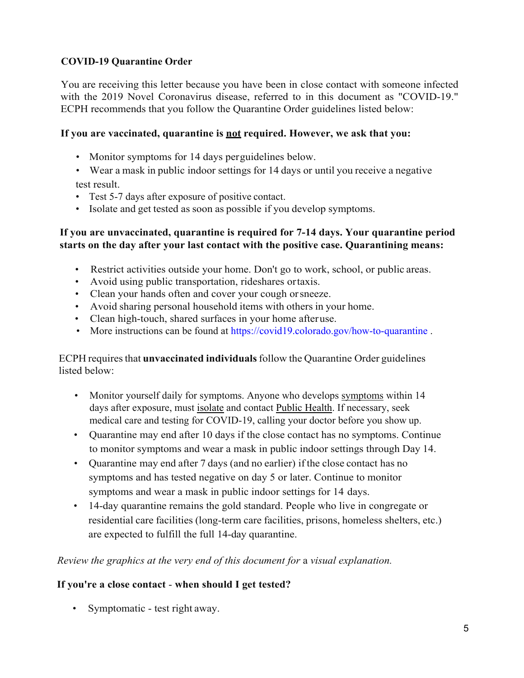## **COVID-19 Quarantine Order**

You are receiving this letter because you have been in close contact with someone infected with the 2019 Novel Coronavirus disease, referred to in this document as "COVID-19." ECPH recommends that you follow the Quarantine Order guidelines listed below:

## **If you are vaccinated, quarantine is not required. However, we ask that you:**

- Monitor symptoms for 14 days perguidelines below.
- Wear a mask in public indoor settings for 14 days or until you receive a negative test result.
- Test 5-7 days after exposure of positive contact.
- Isolate and get tested as soon as possible if you develop symptoms.

## **If you are unvaccinated, quarantine is required for 7-14 days. Your quarantine period starts on the day after your last contact with the positive case. Quarantining means:**

- Restrict activities outside your home. Don't go to work, school, or public areas.
- Avoid using public transportation, rideshares ortaxis.
- Clean your hands often and cover your cough orsneeze.
- Avoid sharing personal household items with others in your home.
- Clean high-touch, shared surfaces in your home afteruse.
- More instructions can be found at<https://covid19.colorado.gov/how-to-quarantine>.

#### ECPH requires that **unvaccinated individuals**follow the Quarantine Order guidelines listed below:

- Monitor yourself daily for symptoms. Anyone who develops symptoms within 14 days after exposure, must isolate and contact Public Health. If necessary, seek medical care and testing for COVID-19, calling your doctor before you show up.
- Quarantine may end after 10 days if the close contact has no symptoms. Continue to monitor symptoms and wear a mask in public indoor settings through Day 14.
- Quarantine may end after 7 days (and no earlier) if the close contact has no symptoms and has tested negative on day 5 or later. Continue to monitor symptoms and wear a mask in public indoor settings for 14 days.
- 14-day quarantine remains the gold standard. People who live in congregate or residential care facilities (long-term care facilities, prisons, homeless shelters, etc.) are expected to fulfill the full 14-day quarantine.

## *Review the graphics at the very end of this document for* a *visual explanation.*

## **If you're a close contact** - **when should I get tested?**

• Symptomatic - test right away.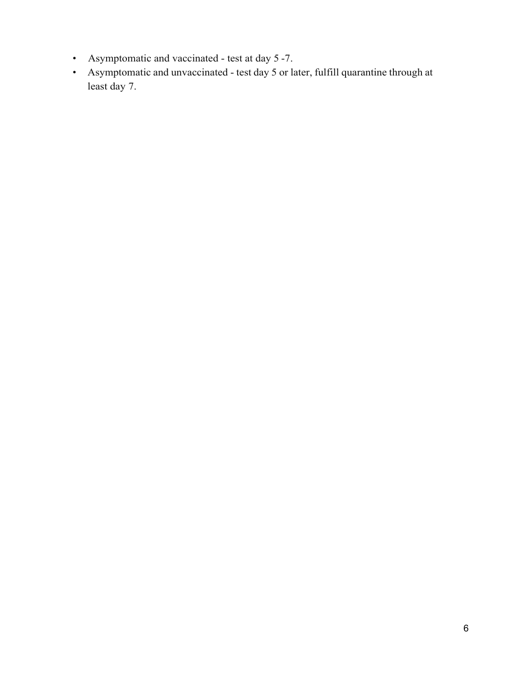- Asymptomatic and vaccinated test at day 5 -7.
- Asymptomatic and unvaccinated test day 5 or later, fulfill quarantine through at least day 7.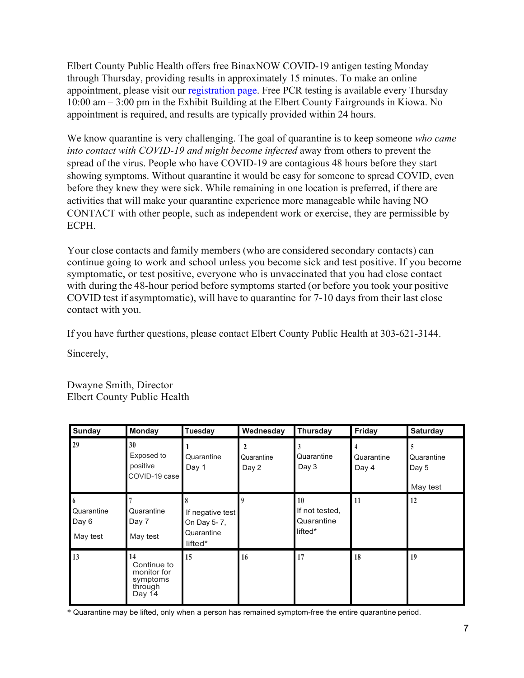Elbert County Public Health offers free BinaxNOW COVID-19 antigen testing Monday through Thursday, providing results in approximately 15 minutes. To make an online appointment, please visit our [registration page.](https://www.signupgenius.com/go/10c0f4eabab2ba7fdc16-rapid) Free PCR testing is available every Thursday 10:00 am – 3:00 pm in the Exhibit Building at the Elbert County Fairgrounds in Kiowa. No appointment is required, and results are typically provided within 24 hours.

We know quarantine is very challenging. The goal of quarantine is to keep someone *who came*  into contact with COVID-19 and might become infected away from others to prevent the spread of the virus. People who have COVID-19 are contagious 48 hours before they start showing symptoms. Without quarantine it would be easy for someone to spread COVID, even before they knew they were sick. While remaining in one location is preferred, if there are activities that will make your quarantine experience more manageable while having NO CONTACT with other people, such as independent work or exercise, they are permissible by ECPH.

Your close contacts and family members (who are considered secondary contacts) can continue going to work and school unless you become sick and test positive. If you become symptomatic, or test positive, everyone who is unvaccinated that you had close contact with during the 48-hour period before symptoms started (or before you took your positive COVID test if asymptomatic), will have to quarantine for 7-10 days from their last close contact with you.

If you have further questions, please contact Elbert County Public Health at 303-621-3144.

Sincerely,

Dwayne Smith, Director Elbert County Public Health

| <b>Sunday</b>                        | <b>Monday</b>                                                     | <b>Tuesday</b>                                           | Wednesday                           | <b>Thursday</b>                               | <b>Friday</b>       | <b>Saturday</b>                 |
|--------------------------------------|-------------------------------------------------------------------|----------------------------------------------------------|-------------------------------------|-----------------------------------------------|---------------------|---------------------------------|
| 29                                   | 30<br>Exposed to<br>positive<br>COVID-19 case                     | Quarantine<br>Day 1                                      | $\mathbf{2}$<br>Quarantine<br>Day 2 | Quarantine<br>Day 3                           | Quarantine<br>Day 4 | Quarantine<br>Day 5<br>May test |
| 6<br>Quarantine<br>Day 6<br>May test | Quarantine<br>Day 7<br>May test                                   | If negative test<br>On Day 5-7,<br>Quarantine<br>lifted* | q                                   | 10<br>If not tested,<br>Quarantine<br>lifted* | 11                  | 12                              |
| 13                                   | 14<br>Continue to<br>monitor for<br>symptoms<br>through<br>Day 14 | 15                                                       | 16                                  | 17                                            | 18                  | 19                              |

\* Quarantine may be lifted, only when a person has remained symptom-free the entire quarantine period.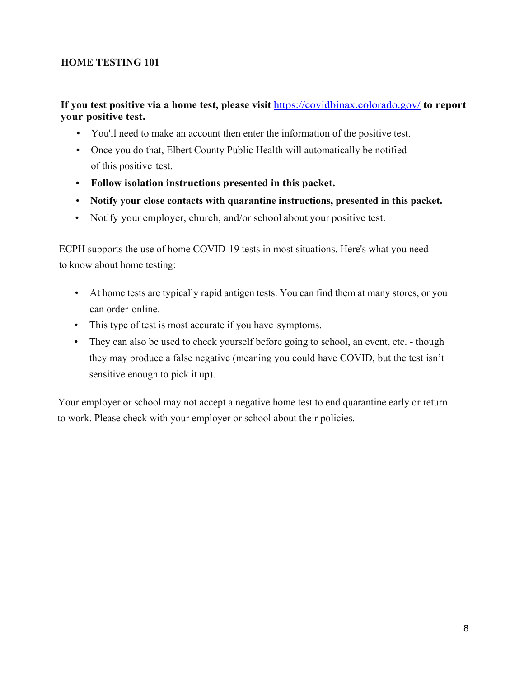#### **HOME TESTING 101**

#### **If you test positive via a home test, please visit** <https://covidbinax.colorado.gov/>**to report your positive test.**

- You'll need to make an account then enter the information of the positive test.
- Once you do that, Elbert County Public Health will automatically be notified of this positive test.
- **Follow isolation instructions presented in this packet.**
- **Notify your close contacts with quarantine instructions, presented in this packet.**
- Notify your employer, church, and/or school about your positive test.

ECPH supports the use of home COVID-19 tests in most situations. Here's what you need to know about home testing:

- At home tests are typically rapid antigen tests. You can find them at many stores, or you can order online.
- This type of test is most accurate if you have symptoms.
- They can also be used to check yourself before going to school, an event, etc. though they may produce a false negative (meaning you could have COVID, but the test isn't sensitive enough to pick it up).

Your employer or school may not accept a negative home test to end quarantine early or return to work. Please check with your employer or school about their policies.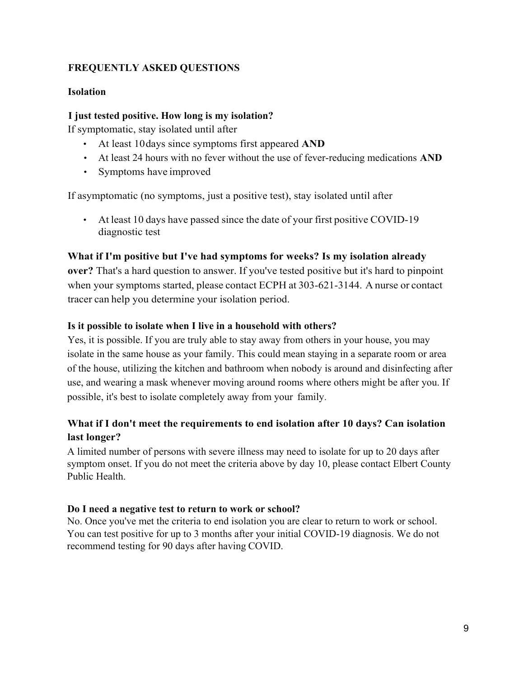## **FREQUENTLY ASKED QUESTIONS**

#### **Isolation**

#### **I just tested positive. How long is my isolation?**

If symptomatic, stay isolated until after

- At least 10days since symptoms first appeared **AND**
- At least 24 hours with no fever without the use of fever-reducing medications **AND**
- Symptoms have improved

If asymptomatic (no symptoms, just a positive test), stay isolated until after

• At least 10 days have passed since the date of your first positive COVID-19 diagnostic test

#### **What if I'm positive but I've had symptoms for weeks? Is my isolation already**

**over?** That's a hard question to answer. If you've tested positive but it's hard to pinpoint when your symptoms started, please contact ECPH at 303-621-3144. A nurse or contact tracer can help you determine your isolation period.

#### **Is it possible to isolate when I live in a household with others?**

Yes, it is possible. If you are truly able to stay away from others in your house, you may isolate in the same house as your family. This could mean staying in a separate room or area of the house, utilizing the kitchen and bathroom when nobody is around and disinfecting after use, and wearing a mask whenever moving around rooms where others might be after you. If possible, it's best to isolate completely away from your family.

## **What if I don't meet the requirements to end isolation after 10 days? Can isolation last longer?**

A limited number of persons with severe illness may need to isolate for up to 20 days after symptom onset. If you do not meet the criteria above by day 10, please contact Elbert County Public Health.

#### **Do I need a negative test to return to work or school?**

No. Once you've met the criteria to end isolation you are clear to return to work or school. You can test positive for up to 3 months after your initial COVID-19 diagnosis. We do not recommend testing for 90 days after having COVID.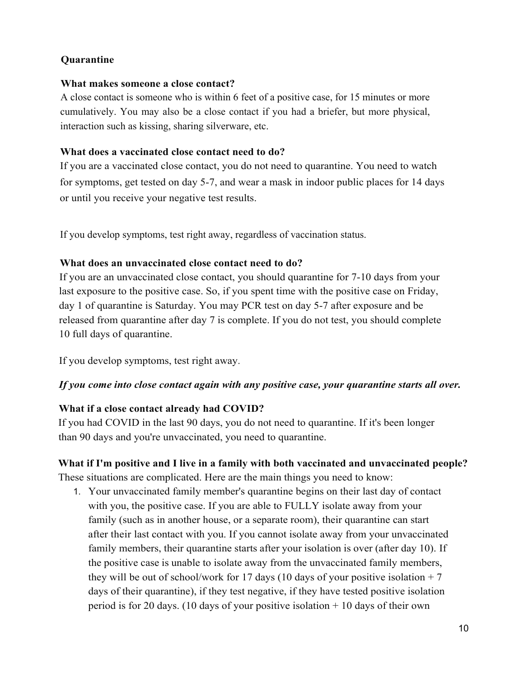## **Quarantine**

#### **What makes someone a close contact?**

A close contact is someone who is within 6 feet of a positive case, for 15 minutes or more cumulatively. You may also be a close contact if you had a briefer, but more physical, interaction such as kissing, sharing silverware, etc.

#### **What does a vaccinated close contact need to do?**

If you are a vaccinated close contact, you do not need to quarantine. You need to watch for symptoms, get tested on day 5-7, and wear a mask in indoor public places for 14 days or until you receive your negative test results.

If you develop symptoms, test right away, regardless of vaccination status.

#### **What does an unvaccinated close contact need to do?**

If you are an unvaccinated close contact, you should quarantine for 7-10 days from your last exposure to the positive case. So, if you spent time with the positive case on Friday, day 1 of quarantine is Saturday. You may PCR test on day 5-7 after exposure and be released from quarantine after day 7 is complete. If you do not test, you should complete 10 full days of quarantine.

If you develop symptoms, test right away.

#### *If you come into close contact again with any positive case, your quarantine starts all over.*

#### **What if a close contact already had COVID?**

If you had COVID in the last 90 days, you do not need to quarantine. If it's been longer than 90 days and you're unvaccinated, you need to quarantine.

# **What if I'm positive and I live in a family with both vaccinated and unvaccinated people?**

These situations are complicated. Here are the main things you need to know:

1. Your unvaccinated family member's quarantine begins on their last day of contact with you, the positive case. If you are able to FULLY isolate away from your family (such as in another house, or a separate room), their quarantine can start after their last contact with you. If you cannot isolate away from your unvaccinated family members, their quarantine starts after your isolation is over (after day 10). If the positive case is unable to isolate away from the unvaccinated family members, they will be out of school/work for 17 days (10 days of your positive isolation  $+7$ days of their quarantine), if they test negative, if they have tested positive isolation period is for 20 days. (10 days of your positive isolation + 10 days of their own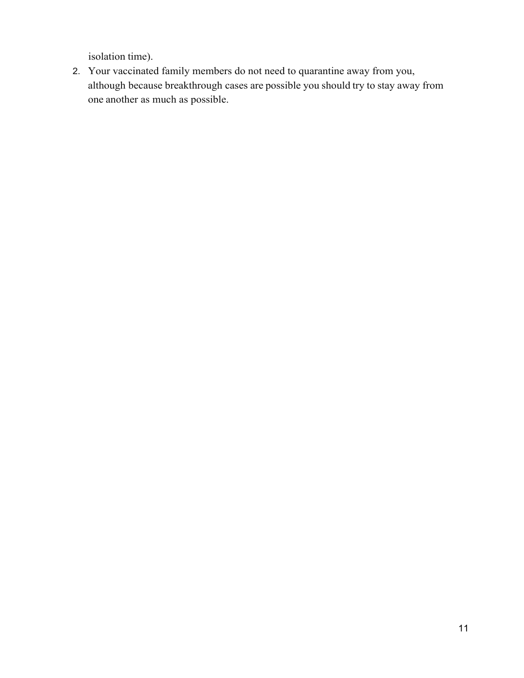isolation time).

2. Your vaccinated family members do not need to quarantine away from you, although because breakthrough cases are possible you should try to stay away from one another as much as possible.